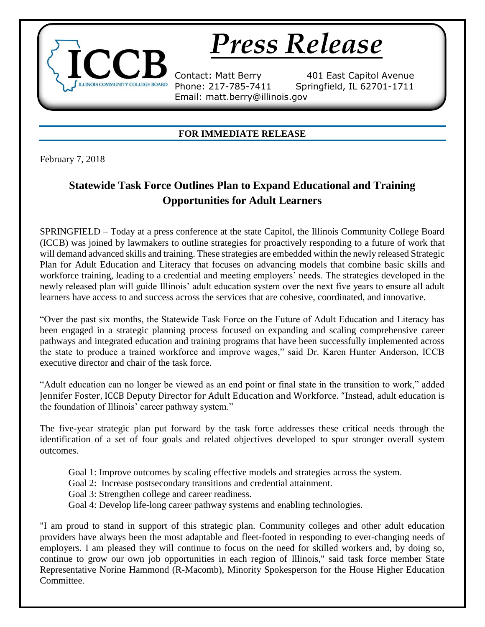## *Press Release*

Email: matt.berry@illinois.gov

Contact: Matt Berry 401 East Capitol Avenue Phone: 217-785-7411 Springfield, IL 62701-1711

## **FOR IMMEDIATE RELEASE**

February 7, 2018

**INOIS COMMUNITY COLLEGE BOARD** 

## **Statewide Task Force Outlines Plan to Expand Educational and Training Opportunities for Adult Learners**

SPRINGFIELD – Today at a press conference at the state Capitol, the Illinois Community College Board (ICCB) was joined by lawmakers to outline strategies for proactively responding to a future of work that will demand advanced skills and training. These strategies are embedded within the newly released Strategic Plan for Adult Education and Literacy that focuses on advancing models that combine basic skills and workforce training, leading to a credential and meeting employers' needs. The strategies developed in the newly released plan will guide Illinois' adult education system over the next five years to ensure all adult learners have access to and success across the services that are cohesive, coordinated, and innovative.

"Over the past six months, the Statewide Task Force on the Future of Adult Education and Literacy has been engaged in a strategic planning process focused on expanding and scaling comprehensive career pathways and integrated education and training programs that have been successfully implemented across the state to produce a trained workforce and improve wages," said Dr. Karen Hunter Anderson, ICCB executive director and chair of the task force.

"Adult education can no longer be viewed as an end point or final state in the transition to work," added Jennifer Foster, ICCB Deputy Director for Adult Education and Workforce. "Instead, adult education is the foundation of Illinois' career pathway system."

The five-year strategic plan put forward by the task force addresses these critical needs through the identification of a set of four goals and related objectives developed to spur stronger overall system outcomes.

- Goal 1: Improve outcomes by scaling effective models and strategies across the system.
- Goal 2: Increase postsecondary transitions and credential attainment.
- Goal 3: Strengthen college and career readiness.
- Goal 4: Develop life-long career pathway systems and enabling technologies.

"I am proud to stand in support of this strategic plan. Community colleges and other adult education providers have always been the most adaptable and fleet-footed in responding to ever-changing needs of employers. I am pleased they will continue to focus on the need for skilled workers and, by doing so, continue to grow our own job opportunities in each region of Illinois," said task force member State Representative Norine Hammond (R-Macomb), Minority Spokesperson for the House Higher Education Committee.